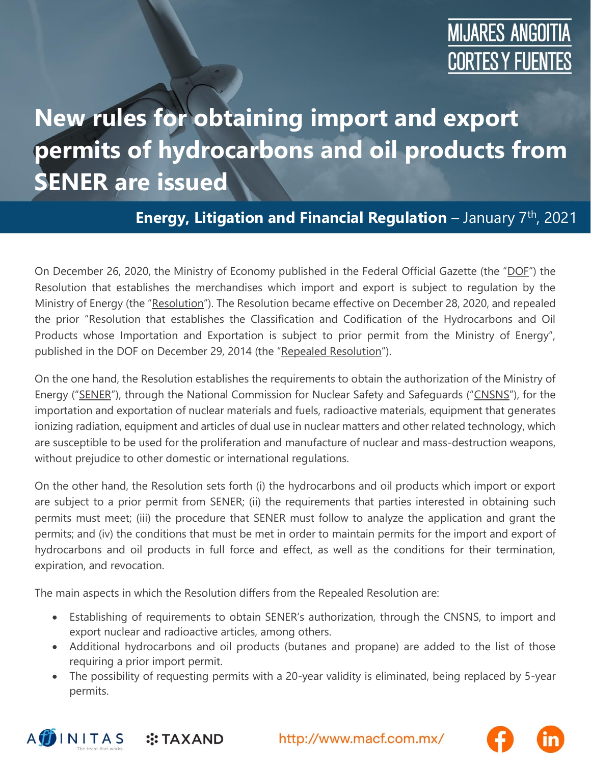## **MIJARES ANGOIT CORTES Y FUENTES**

## **New rules for obtaining import and export permits of hydrocarbons and oil products from SENER are issued**

#### **Energy, Litigation and Financial Regulation** – January 7<sup>th</sup>, 2021

On December 26, 2020, the Ministry of Economy published in the Federal Official Gazette (the "DOF") the Resolution that establishes the merchandises which import and export is subject to regulation by the Ministry of Energy (the "Resolution"). The Resolution became effective on December 28, 2020, and repealed the prior "Resolution that establishes the Classification and Codification of the Hydrocarbons and Oil Products whose Importation and Exportation is subject to prior permit from the Ministry of Energy", published in the DOF on December 29, 2014 (the "Repealed Resolution").

On the one hand, the Resolution establishes the requirements to obtain the authorization of the Ministry of Energy ("SENER"), through the National Commission for Nuclear Safety and Safeguards ("CNSNS"), for the importation and exportation of nuclear materials and fuels, radioactive materials, equipment that generates ionizing radiation, equipment and articles of dual use in nuclear matters and other related technology, which are susceptible to be used for the proliferation and manufacture of nuclear and mass-destruction weapons, without prejudice to other domestic or international regulations.

On the other hand, the Resolution sets forth (i) the hydrocarbons and oil products which import or export are subject to a prior permit from SENER; (ii) the requirements that parties interested in obtaining such permits must meet; (iii) the procedure that SENER must follow to analyze the application and grant the permits; and (iv) the conditions that must be met in order to maintain permits for the import and export of hydrocarbons and oil products in full force and effect, as well as the conditions for their termination, expiration, and revocation.

The main aspects in which the Resolution differs from the Repealed Resolution are:

**:: TAXAND** 

- Establishing of requirements to obtain SENER's authorization, through the CNSNS, to import and export nuclear and radioactive articles, among others.
- Additional hydrocarbons and oil products (butanes and propane) are added to the list of those requiring a prior import permit.
- The possibility of requesting permits with a 20-year validity is eliminated, being replaced by 5-year permits.



http://www.macf.com.mx/

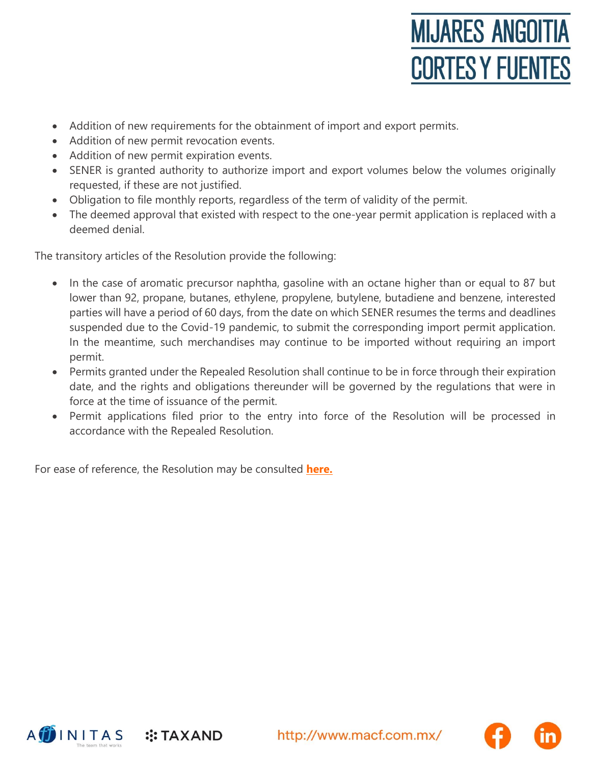# **MIJARES ANGOITIA CORTES Y FUENTES**

- Addition of new requirements for the obtainment of import and export permits.
- Addition of new permit revocation events.
- Addition of new permit expiration events.
- SENER is granted authority to authorize import and export volumes below the volumes originally requested, if these are not justified.
- Obligation to file monthly reports, regardless of the term of validity of the permit.
- The deemed approval that existed with respect to the one-year permit application is replaced with a deemed denial.

The transitory articles of the Resolution provide the following:

- In the case of aromatic precursor naphtha, gasoline with an octane higher than or equal to 87 but lower than 92, propane, butanes, ethylene, propylene, butylene, butadiene and benzene, interested parties will have a period of 60 days, from the date on which SENER resumes the terms and deadlines suspended due to the Covid-19 pandemic, to submit the corresponding import permit application. In the meantime, such merchandises may continue to be imported without requiring an import permit.
- Permits granted under the Repealed Resolution shall continue to be in force through their expiration date, and the rights and obligations thereunder will be governed by the regulations that were in force at the time of issuance of the permit.
- Permit applications filed prior to the entry into force of the Resolution will be processed in accordance with the Repealed Resolution.

For ease of reference, the Resolution may be consulted **[here.](https://macf.com.mx/administrador/assets/uploads/files/seasons/96d84-acuerdo-sener-que-establece-las-mercancias-sujetas-a-permiso-de-importacion-o-exportacion-comprimido.pdf)**



**:: TAXAND**